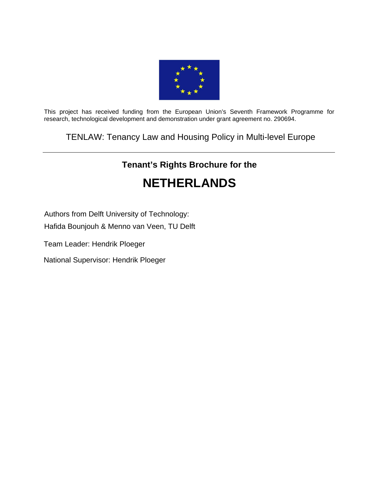

This project has received funding from the European Union's Seventh Framework Programme for research, technological development and demonstration under grant agreement no. 290694.

TENLAW: Tenancy Law and Housing Policy in Multi-level Europe

# **Tenant's Rights Brochure for the NETHERLANDS**

Authors from Delft University of Technology:

Hafida Bounjouh & Menno van Veen, TU Delft

Team Leader: Hendrik Ploeger

National Supervisor: Hendrik Ploeger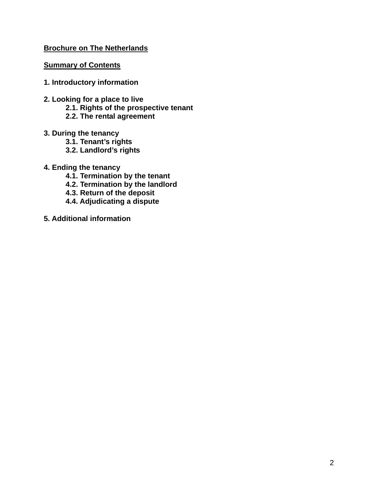# **Brochure on The Netherlands**

### **Summary of Contents**

- **1. Introductory information**
- **2. Looking for a place to live** 
	- **2.1. Rights of the prospective tenant**
	- **2.2. The rental agreement**
- **3. During the tenancy** 
	- **3.1. Tenant's rights**
	- **3.2. Landlord's rights**
- **4. Ending the tenancy** 
	- **4.1. Termination by the tenant**
	- **4.2. Termination by the landlord**
	- **4.3. Return of the deposit**
	- **4.4. Adjudicating a dispute**
- **5. Additional information**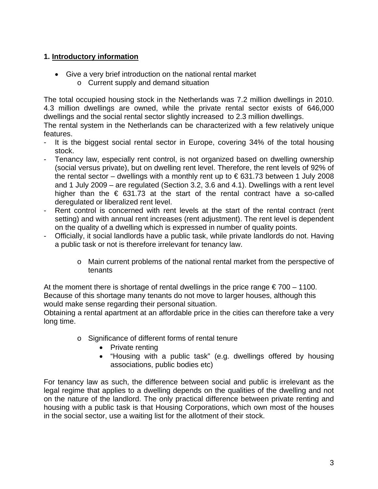# **1. Introductory information**

- Give a very brief introduction on the national rental market
	- o Current supply and demand situation

The total occupied housing stock in the Netherlands was 7.2 million dwellings in 2010. 4.3 million dwellings are owned, while the private rental sector exists of 646,000 dwellings and the social rental sector slightly increased to 2.3 million dwellings.

The rental system in the Netherlands can be characterized with a few relatively unique features.

- It is the biggest social rental sector in Europe, covering 34% of the total housing stock.
- Tenancy law, especially rent control, is not organized based on dwelling ownership (social versus private), but on dwelling rent level. Therefore, the rent levels of 92% of the rental sector – dwellings with a monthly rent up to  $\epsilon$  631.73 between 1 July 2008 and 1 July 2009 – are regulated (Section 3.2, 3.6 and 4.1). Dwellings with a rent level higher than the  $\epsilon$  631.73 at the start of the rental contract have a so-called deregulated or liberalized rent level.
- Rent control is concerned with rent levels at the start of the rental contract (rent setting) and with annual rent increases (rent adjustment). The rent level is dependent on the quality of a dwelling which is expressed in number of quality points.
- Officially, it social landlords have a public task, while private landlords do not. Having a public task or not is therefore irrelevant for tenancy law.
	- o Main current problems of the national rental market from the perspective of tenants

At the moment there is shortage of rental dwellings in the price range  $\epsilon$  700 – 1100. Because of this shortage many tenants do not move to larger houses, although this would make sense regarding their personal situation.

Obtaining a rental apartment at an affordable price in the cities can therefore take a very long time.

- o Significance of different forms of rental tenure
	- Private renting
	- "Housing with a public task" (e.g. dwellings offered by housing associations, public bodies etc)

For tenancy law as such, the difference between social and public is irrelevant as the legal regime that applies to a dwelling depends on the qualities of the dwelling and not on the nature of the landlord. The only practical difference between private renting and housing with a public task is that Housing Corporations, which own most of the houses in the social sector, use a waiting list for the allotment of their stock.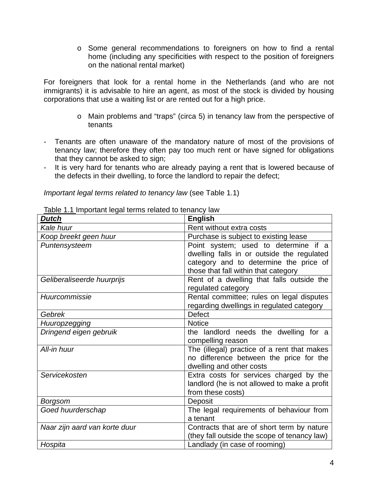o Some general recommendations to foreigners on how to find a rental home (including any specificities with respect to the position of foreigners on the national rental market)

For foreigners that look for a rental home in the Netherlands (and who are not immigrants) it is advisable to hire an agent, as most of the stock is divided by housing corporations that use a waiting list or are rented out for a high price.

- o Main problems and "traps" (circa 5) in tenancy law from the perspective of tenants
- Tenants are often unaware of the mandatory nature of most of the provisions of tenancy law; therefore they often pay too much rent or have signed for obligations that they cannot be asked to sign;
- It is very hard for tenants who are already paying a rent that is lowered because of the defects in their dwelling, to force the landlord to repair the defect;

*Important legal terms related to tenancy law* (see Table 1.1)

| $100 - 111 - 111 - 1000 - 1111 - 1000 - 1000 - 1000 - 1000 - 1000 - 1000 - 1000 - 1000 - 1000 - 1000 - 1000 - 1000 - 1000 - 1000 - 1000 - 1000 - 1000 - 1000 - 1000 - 1000 - 1000 - 1000 - 1000 - 1000 - 1000 - 1000 - 1000 - 1000 - 1000 - 1000 - 1000 - 1000 - 1$<br>Dutch | <b>English</b>                               |  |
|------------------------------------------------------------------------------------------------------------------------------------------------------------------------------------------------------------------------------------------------------------------------------|----------------------------------------------|--|
| Kale huur                                                                                                                                                                                                                                                                    | Rent without extra costs                     |  |
| Koop breekt geen huur                                                                                                                                                                                                                                                        | Purchase is subject to existing lease        |  |
| Puntensysteem                                                                                                                                                                                                                                                                | Point system; used to determine if a         |  |
|                                                                                                                                                                                                                                                                              | dwelling falls in or outside the regulated   |  |
|                                                                                                                                                                                                                                                                              | category and to determine the price of       |  |
|                                                                                                                                                                                                                                                                              | those that fall within that category         |  |
| Geliberaliseerde huurprijs                                                                                                                                                                                                                                                   | Rent of a dwelling that falls outside the    |  |
|                                                                                                                                                                                                                                                                              | regulated category                           |  |
| Huurcommissie                                                                                                                                                                                                                                                                | Rental committee; rules on legal disputes    |  |
|                                                                                                                                                                                                                                                                              | regarding dwellings in regulated category    |  |
| Gebrek                                                                                                                                                                                                                                                                       | <b>Defect</b>                                |  |
| <b>Huuropzegging</b>                                                                                                                                                                                                                                                         | <b>Notice</b>                                |  |
| Dringend eigen gebruik                                                                                                                                                                                                                                                       | the landlord needs the dwelling for a        |  |
|                                                                                                                                                                                                                                                                              | compelling reason                            |  |
| All-in huur                                                                                                                                                                                                                                                                  | The (illegal) practice of a rent that makes  |  |
|                                                                                                                                                                                                                                                                              | no difference between the price for the      |  |
|                                                                                                                                                                                                                                                                              | dwelling and other costs                     |  |
| Servicekosten                                                                                                                                                                                                                                                                | Extra costs for services charged by the      |  |
|                                                                                                                                                                                                                                                                              | landlord (he is not allowed to make a profit |  |
|                                                                                                                                                                                                                                                                              | from these costs)                            |  |
| Borgsom                                                                                                                                                                                                                                                                      | Deposit                                      |  |
| Goed huurderschap                                                                                                                                                                                                                                                            | The legal requirements of behaviour from     |  |
|                                                                                                                                                                                                                                                                              | a tenant                                     |  |
| Naar zijn aard van korte duur                                                                                                                                                                                                                                                | Contracts that are of short term by nature   |  |
|                                                                                                                                                                                                                                                                              | (they fall outside the scope of tenancy law) |  |
| Hospita                                                                                                                                                                                                                                                                      | Landlady (in case of rooming)                |  |

Table 1.1 Important legal terms related to tenancy law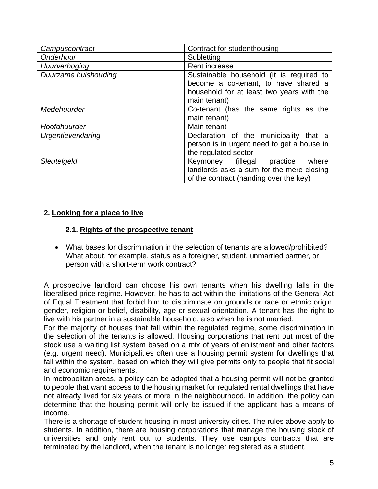| Campuscontract       | Contract for studenthousing                |  |  |
|----------------------|--------------------------------------------|--|--|
| Onderhuur            | Subletting                                 |  |  |
| Huurverhoging        | Rent increase                              |  |  |
| Duurzame huishouding | Sustainable household (it is required to   |  |  |
|                      | become a co-tenant, to have shared a       |  |  |
|                      | household for at least two years with the  |  |  |
|                      | main tenant)                               |  |  |
| Medehuurder          | Co-tenant (has the same rights as the      |  |  |
|                      | main tenant)                               |  |  |
| Hoofdhuurder         | Main tenant                                |  |  |
| Urgentieverklaring   | Declaration of the municipality that a     |  |  |
|                      | person is in urgent need to get a house in |  |  |
|                      | the regulated sector                       |  |  |
| Sleutelgeld          | Keymoney (illegal<br>where<br>practice     |  |  |
|                      | landlords asks a sum for the mere closing  |  |  |
|                      | of the contract (handing over the key)     |  |  |

# **2. Looking for a place to live**

### **2.1. Rights of the prospective tenant**

 What bases for discrimination in the selection of tenants are allowed/prohibited? What about, for example, status as a foreigner, student, unmarried partner, or person with a short-term work contract?

A prospective landlord can choose his own tenants when his dwelling falls in the liberalised price regime. However, he has to act within the limitations of the General Act of Equal Treatment that forbid him to discriminate on grounds or race or ethnic origin, gender, religion or belief, disability, age or sexual orientation. A tenant has the right to live with his partner in a sustainable household, also when he is not married.

For the majority of houses that fall within the regulated regime, some discrimination in the selection of the tenants is allowed. Housing corporations that rent out most of the stock use a waiting list system based on a mix of years of enlistment and other factors (e.g. urgent need). Municipalities often use a housing permit system for dwellings that fall within the system, based on which they will give permits only to people that fit social and economic requirements.

In metropolitan areas, a policy can be adopted that a housing permit will not be granted to people that want access to the housing market for regulated rental dwellings that have not already lived for six years or more in the neighbourhood. In addition, the policy can determine that the housing permit will only be issued if the applicant has a means of income.

There is a shortage of student housing in most university cities. The rules above apply to students. In addition, there are housing corporations that manage the housing stock of universities and only rent out to students. They use campus contracts that are terminated by the landlord, when the tenant is no longer registered as a student.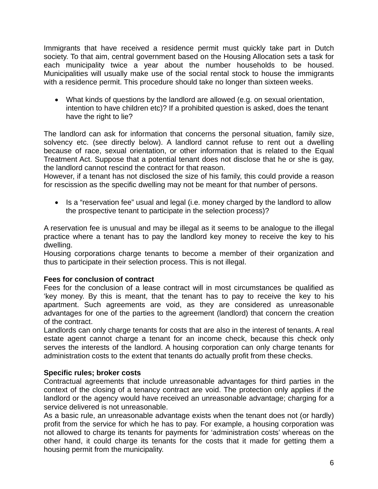Immigrants that have received a residence permit must quickly take part in Dutch society. To that aim, central government based on the Housing Allocation sets a task for each municipality twice a year about the number households to be housed. Municipalities will usually make use of the social rental stock to house the immigrants with a residence permit. This procedure should take no longer than sixteen weeks.

 What kinds of questions by the landlord are allowed (e.g. on sexual orientation, intention to have children etc)? If a prohibited question is asked, does the tenant have the right to lie?

The landlord can ask for information that concerns the personal situation, family size, solvency etc. (see directly below). A landlord cannot refuse to rent out a dwelling because of race, sexual orientation, or other information that is related to the Equal Treatment Act. Suppose that a potential tenant does not disclose that he or she is gay, the landlord cannot rescind the contract for that reason.

However, if a tenant has not disclosed the size of his family, this could provide a reason for rescission as the specific dwelling may not be meant for that number of persons.

• Is a "reservation fee" usual and legal (i.e. money charged by the landlord to allow the prospective tenant to participate in the selection process)?

A reservation fee is unusual and may be illegal as it seems to be analogue to the illegal practice where a tenant has to pay the landlord key money to receive the key to his dwelling.

Housing corporations charge tenants to become a member of their organization and thus to participate in their selection process. This is not illegal.

### **Fees for conclusion of contract**

Fees for the conclusion of a lease contract will in most circumstances be qualified as 'key money. By this is meant, that the tenant has to pay to receive the key to his apartment. Such agreements are void, as they are considered as unreasonable advantages for one of the parties to the agreement (landlord) that concern the creation of the contract.

Landlords can only charge tenants for costs that are also in the interest of tenants. A real estate agent cannot charge a tenant for an income check, because this check only serves the interests of the landlord. A housing corporation can only charge tenants for administration costs to the extent that tenants do actually profit from these checks.

### **Specific rules; broker costs**

Contractual agreements that include unreasonable advantages for third parties in the context of the closing of a tenancy contract are void. The protection only applies if the landlord or the agency would have received an unreasonable advantage; charging for a service delivered is not unreasonable.

As a basic rule, an unreasonable advantage exists when the tenant does not (or hardly) profit from the service for which he has to pay. For example, a housing corporation was not allowed to charge its tenants for payments for 'administration costs' whereas on the other hand, it could charge its tenants for the costs that it made for getting them a housing permit from the municipality.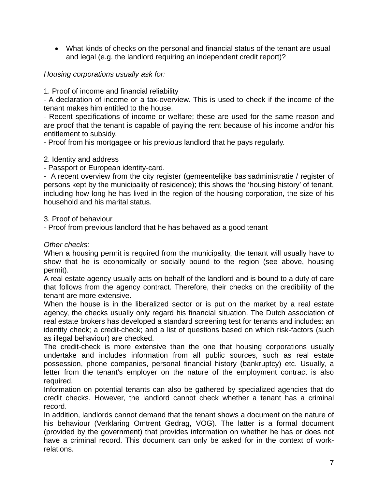What kinds of checks on the personal and financial status of the tenant are usual and legal (e.g. the landlord requiring an independent credit report)?

# *Housing corporations usually ask for:*

1. Proof of income and financial reliability

- A declaration of income or a tax-overview. This is used to check if the income of the tenant makes him entitled to the house.

- Recent specifications of income or welfare; these are used for the same reason and are proof that the tenant is capable of paying the rent because of his income and/or his entitlement to subsidy.

- Proof from his mortgagee or his previous landlord that he pays regularly.

# 2. Identity and address

- Passport or European identity-card.

- A recent overview from the city register (gemeentelijke basisadministratie / register of persons kept by the municipality of residence); this shows the 'housing history' of tenant, including how long he has lived in the region of the housing corporation, the size of his household and his marital status.

3. Proof of behaviour

- Proof from previous landlord that he has behaved as a good tenant

*Other checks:* 

When a housing permit is required from the municipality, the tenant will usually have to show that he is economically or socially bound to the region (see above, housing permit).

A real estate agency usually acts on behalf of the landlord and is bound to a duty of care that follows from the agency contract. Therefore, their checks on the credibility of the tenant are more extensive.

When the house is in the liberalized sector or is put on the market by a real estate agency, the checks usually only regard his financial situation. The Dutch association of real estate brokers has developed a standard screening test for tenants and includes: an identity check; a credit-check; and a list of questions based on which risk-factors (such as illegal behaviour) are checked.

The credit-check is more extensive than the one that housing corporations usually undertake and includes information from all public sources, such as real estate possession, phone companies, personal financial history (bankruptcy) etc. Usually, a letter from the tenant's employer on the nature of the employment contract is also required.

Information on potential tenants can also be gathered by specialized agencies that do credit checks. However, the landlord cannot check whether a tenant has a criminal record.

In addition, landlords cannot demand that the tenant shows a document on the nature of his behaviour (Verklaring Omtrent Gedrag, VOG). The latter is a formal document (provided by the government) that provides information on whether he has or does not have a criminal record. This document can only be asked for in the context of workrelations.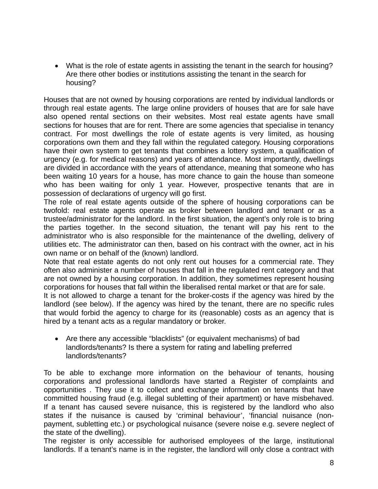What is the role of estate agents in assisting the tenant in the search for housing? Are there other bodies or institutions assisting the tenant in the search for housing?

Houses that are not owned by housing corporations are rented by individual landlords or through real estate agents. The large online providers of houses that are for sale have also opened rental sections on their websites. Most real estate agents have small sections for houses that are for rent. There are some agencies that specialise in tenancy contract. For most dwellings the role of estate agents is very limited, as housing corporations own them and they fall within the regulated category. Housing corporations have their own system to get tenants that combines a lottery system, a qualification of urgency (e.g. for medical reasons) and years of attendance. Most importantly, dwellings are divided in accordance with the years of attendance, meaning that someone who has been waiting 10 years for a house, has more chance to gain the house than someone who has been waiting for only 1 year. However, prospective tenants that are in possession of declarations of urgency will go first.

The role of real estate agents outside of the sphere of housing corporations can be twofold: real estate agents operate as broker between landlord and tenant or as a trustee/administrator for the landlord. In the first situation, the agent's only role is to bring the parties together. In the second situation, the tenant will pay his rent to the administrator who is also responsible for the maintenance of the dwelling, delivery of utilities etc. The administrator can then, based on his contract with the owner, act in his own name or on behalf of the (known) landlord.

Note that real estate agents do not only rent out houses for a commercial rate. They often also administer a number of houses that fall in the regulated rent category and that are not owned by a housing corporation. In addition, they sometimes represent housing corporations for houses that fall within the liberalised rental market or that are for sale.

It is not allowed to charge a tenant for the broker-costs if the agency was hired by the landlord (see below). If the agency was hired by the tenant, there are no specific rules that would forbid the agency to charge for its (reasonable) costs as an agency that is hired by a tenant acts as a regular mandatory or broker.

 Are there any accessible "blacklists" (or equivalent mechanisms) of bad landlords/tenants? Is there a system for rating and labelling preferred landlords/tenants?

To be able to exchange more information on the behaviour of tenants, housing corporations and professional landlords have started a Register of complaints and opportunities . They use it to collect and exchange information on tenants that have committed housing fraud (e.g. illegal subletting of their apartment) or have misbehaved. If a tenant has caused severe nuisance, this is registered by the landlord who also states if the nuisance is caused by 'criminal behaviour', 'financial nuisance (nonpayment, subletting etc.) or psychological nuisance (severe noise e.g. severe neglect of the state of the dwelling).

The register is only accessible for authorised employees of the large, institutional landlords. If a tenant's name is in the register, the landlord will only close a contract with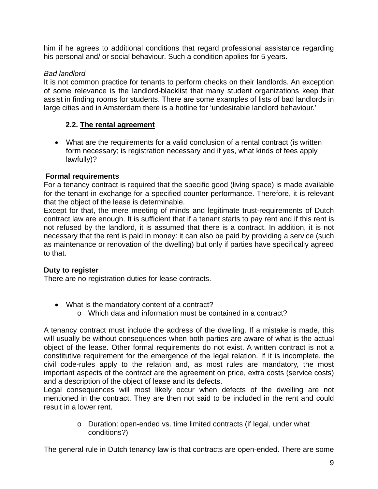him if he agrees to additional conditions that regard professional assistance regarding his personal and/ or social behaviour. Such a condition applies for 5 years.

# *Bad landlord*

It is not common practice for tenants to perform checks on their landlords. An exception of some relevance is the landlord-blacklist that many student organizations keep that assist in finding rooms for students. There are some examples of lists of bad landlords in large cities and in Amsterdam there is a hotline for 'undesirable landlord behaviour.'

# **2.2. The rental agreement**

 What are the requirements for a valid conclusion of a rental contract (is written form necessary; is registration necessary and if yes, what kinds of fees apply lawfully)?

# **Formal requirements**

For a tenancy contract is required that the specific good (living space) is made available for the tenant in exchange for a specified counter-performance. Therefore, it is relevant that the object of the lease is determinable.

Except for that, the mere meeting of minds and legitimate trust-requirements of Dutch contract law are enough. It is sufficient that if a tenant starts to pay rent and if this rent is not refused by the landlord, it is assumed that there is a contract. In addition, it is not necessary that the rent is paid in money: it can also be paid by providing a service (such as maintenance or renovation of the dwelling) but only if parties have specifically agreed to that.

# **Duty to register**

There are no registration duties for lease contracts.

- What is the mandatory content of a contract?
	- o Which data and information must be contained in a contract?

A tenancy contract must include the address of the dwelling. If a mistake is made, this will usually be without consequences when both parties are aware of what is the actual object of the lease. Other formal requirements do not exist. A written contract is not a constitutive requirement for the emergence of the legal relation. If it is incomplete, the civil code-rules apply to the relation and, as most rules are mandatory, the most important aspects of the contract are the agreement on price, extra costs (service costs) and a description of the object of lease and its defects.

Legal consequences will most likely occur when defects of the dwelling are not mentioned in the contract. They are then not said to be included in the rent and could result in a lower rent.

> o Duration: open-ended vs. time limited contracts (if legal, under what conditions?)

The general rule in Dutch tenancy law is that contracts are open-ended. There are some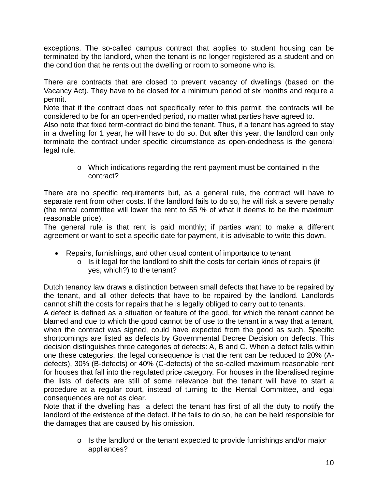exceptions. The so-called campus contract that applies to student housing can be terminated by the landlord, when the tenant is no longer registered as a student and on the condition that he rents out the dwelling or room to someone who is.

There are contracts that are closed to prevent vacancy of dwellings (based on the Vacancy Act). They have to be closed for a minimum period of six months and require a permit.

Note that if the contract does not specifically refer to this permit, the contracts will be considered to be for an open-ended period, no matter what parties have agreed to.

Also note that fixed term-contract do bind the tenant. Thus, if a tenant has agreed to stay in a dwelling for 1 year, he will have to do so. But after this year, the landlord can only terminate the contract under specific circumstance as open-endedness is the general legal rule.

> o Which indications regarding the rent payment must be contained in the contract?

There are no specific requirements but, as a general rule, the contract will have to separate rent from other costs. If the landlord fails to do so, he will risk a severe penalty (the rental committee will lower the rent to 55 % of what it deems to be the maximum reasonable price).

The general rule is that rent is paid monthly; if parties want to make a different agreement or want to set a specific date for payment, it is advisable to write this down.

- Repairs, furnishings, and other usual content of importance to tenant
	- o Is it legal for the landlord to shift the costs for certain kinds of repairs (if yes, which?) to the tenant?

Dutch tenancy law draws a distinction between small defects that have to be repaired by the tenant, and all other defects that have to be repaired by the landlord. Landlords cannot shift the costs for repairs that he is legally obliged to carry out to tenants.

A defect is defined as a situation or feature of the good, for which the tenant cannot be blamed and due to which the good cannot be of use to the tenant in a way that a tenant, when the contract was signed, could have expected from the good as such. Specific shortcomings are listed as defects by Governmental Decree Decision on defects. This decision distinguishes three categories of defects: A, B and C. When a defect falls within one these categories, the legal consequence is that the rent can be reduced to 20% (Adefects), 30% (B-defects) or 40% (C-defects) of the so-called maximum reasonable rent for houses that fall into the regulated price category. For houses in the liberalised regime the lists of defects are still of some relevance but the tenant will have to start a procedure at a regular court, instead of turning to the Rental Committee, and legal consequences are not as clear.

Note that if the dwelling has a defect the tenant has first of all the duty to notify the landlord of the existence of the defect. If he fails to do so, he can be held responsible for the damages that are caused by his omission.

> o Is the landlord or the tenant expected to provide furnishings and/or major appliances?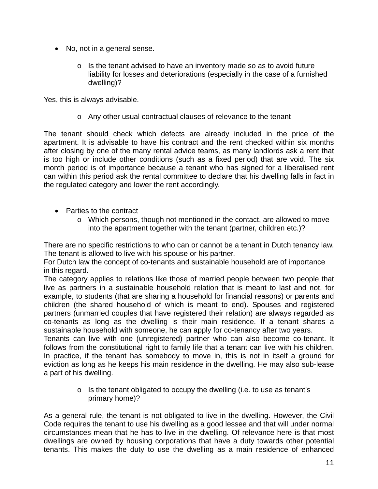- No, not in a general sense.
	- $\circ$  Is the tenant advised to have an inventory made so as to avoid future liability for losses and deteriorations (especially in the case of a furnished dwelling)?

Yes, this is always advisable.

o Any other usual contractual clauses of relevance to the tenant

The tenant should check which defects are already included in the price of the apartment. It is advisable to have his contract and the rent checked within six months after closing by one of the many rental advice teams, as many landlords ask a rent that is too high or include other conditions (such as a fixed period) that are void. The six month period is of importance because a tenant who has signed for a liberalised rent can within this period ask the rental committee to declare that his dwelling falls in fact in the regulated category and lower the rent accordingly.

- Parties to the contract
	- o Which persons, though not mentioned in the contact, are allowed to move into the apartment together with the tenant (partner, children etc.)?

There are no specific restrictions to who can or cannot be a tenant in Dutch tenancy law. The tenant is allowed to live with his spouse or his partner.

For Dutch law the concept of co-tenants and sustainable household are of importance in this regard.

The category applies to relations like those of married people between two people that live as partners in a sustainable household relation that is meant to last and not, for example, to students (that are sharing a household for financial reasons) or parents and children (the shared household of which is meant to end). Spouses and registered partners (unmarried couples that have registered their relation) are always regarded as co-tenants as long as the dwelling is their main residence. If a tenant shares a sustainable household with someone, he can apply for co-tenancy after two years.

Tenants can live with one (unregistered) partner who can also become co-tenant. It follows from the constitutional right to family life that a tenant can live with his children. In practice, if the tenant has somebody to move in, this is not in itself a ground for eviction as long as he keeps his main residence in the dwelling. He may also sub-lease a part of his dwelling.

> o Is the tenant obligated to occupy the dwelling (i.e. to use as tenant's primary home)?

As a general rule, the tenant is not obligated to live in the dwelling. However, the Civil Code requires the tenant to use his dwelling as a good lessee and that will under normal circumstances mean that he has to live in the dwelling. Of relevance here is that most dwellings are owned by housing corporations that have a duty towards other potential tenants. This makes the duty to use the dwelling as a main residence of enhanced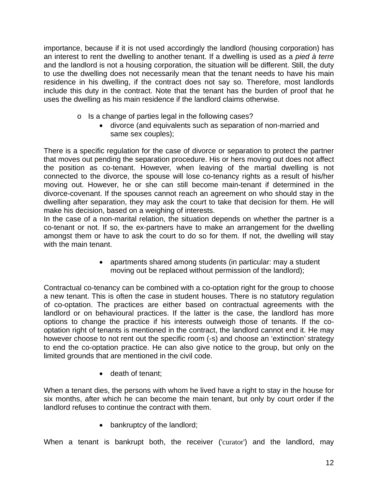importance, because if it is not used accordingly the landlord (housing corporation) has an interest to rent the dwelling to another tenant. If a dwelling is used as a *pied à terre* and the landlord is not a housing corporation, the situation will be different. Still, the duty to use the dwelling does not necessarily mean that the tenant needs to have his main residence in his dwelling, if the contract does not say so. Therefore, most landlords include this duty in the contract. Note that the tenant has the burden of proof that he uses the dwelling as his main residence if the landlord claims otherwise.

- o Is a change of parties legal in the following cases?
	- divorce (and equivalents such as separation of non-married and same sex couples);

There is a specific regulation for the case of divorce or separation to protect the partner that moves out pending the separation procedure. His or hers moving out does not affect the position as co-tenant. However, when leaving of the martial dwelling is not connected to the divorce, the spouse will lose co-tenancy rights as a result of his/her moving out. However, he or she can still become main-tenant if determined in the divorce-covenant. If the spouses cannot reach an agreement on who should stay in the dwelling after separation, they may ask the court to take that decision for them. He will make his decision, based on a weighing of interests.

In the case of a non-marital relation, the situation depends on whether the partner is a co-tenant or not. If so, the ex-partners have to make an arrangement for the dwelling amongst them or have to ask the court to do so for them. If not, the dwelling will stay with the main tenant.

> apartments shared among students (in particular: may a student moving out be replaced without permission of the landlord);

Contractual co-tenancy can be combined with a co-optation right for the group to choose a new tenant. This is often the case in student houses. There is no statutory regulation of co-optation. The practices are either based on contractual agreements with the landlord or on behavioural practices. If the latter is the case, the landlord has more options to change the practice if his interests outweigh those of tenants. If the cooptation right of tenants is mentioned in the contract, the landlord cannot end it. He may however choose to not rent out the specific room (-s) and choose an 'extinction' strategy to end the co-optation practice. He can also give notice to the group, but only on the limited grounds that are mentioned in the civil code.

• death of tenant:

When a tenant dies, the persons with whom he lived have a right to stay in the house for six months, after which he can become the main tenant, but only by court order if the landlord refuses to continue the contract with them.

• bankruptcy of the landlord;

When a tenant is bankrupt both, the receiver ('curator') and the landlord, may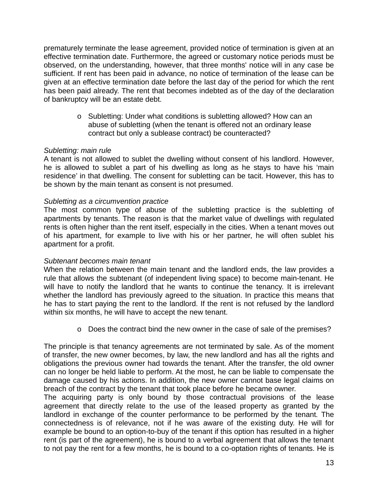prematurely terminate the lease agreement, provided notice of termination is given at an effective termination date. Furthermore, the agreed or customary notice periods must be observed, on the understanding, however, that three months' notice will in any case be sufficient. If rent has been paid in advance, no notice of termination of the lease can be given at an effective termination date before the last day of the period for which the rent has been paid already. The rent that becomes indebted as of the day of the declaration of bankruptcy will be an estate debt.

> o Subletting: Under what conditions is subletting allowed? How can an abuse of subletting (when the tenant is offered not an ordinary lease contract but only a sublease contract) be counteracted?

### *Subletting: main rule*

A tenant is not allowed to sublet the dwelling without consent of his landlord. However, he is allowed to sublet a part of his dwelling as long as he stays to have his 'main residence' in that dwelling. The consent for subletting can be tacit. However, this has to be shown by the main tenant as consent is not presumed.

# *Subletting as a circumvention practice*

The most common type of abuse of the subletting practice is the subletting of apartments by tenants. The reason is that the market value of dwellings with regulated rents is often higher than the rent itself, especially in the cities. When a tenant moves out of his apartment, for example to live with his or her partner, he will often sublet his apartment for a profit.

### *Subtenant becomes main tenant*

When the relation between the main tenant and the landlord ends, the law provides a rule that allows the subtenant (of independent living space) to become main-tenant. He will have to notify the landlord that he wants to continue the tenancy. It is irrelevant whether the landlord has previously agreed to the situation. In practice this means that he has to start paying the rent to the landlord. If the rent is not refused by the landlord within six months, he will have to accept the new tenant.

o Does the contract bind the new owner in the case of sale of the premises?

The principle is that tenancy agreements are not terminated by sale. As of the moment of transfer, the new owner becomes, by law, the new landlord and has all the rights and obligations the previous owner had towards the tenant. After the transfer, the old owner can no longer be held liable to perform. At the most, he can be liable to compensate the damage caused by his actions. In addition, the new owner cannot base legal claims on breach of the contract by the tenant that took place before he became owner.

The acquiring party is only bound by those contractual provisions of the lease agreement that directly relate to the use of the leased property as granted by the landlord in exchange of the counter performance to be performed by the tenant*.* The connectedness is of relevance, not if he was aware of the existing duty. He will for example be bound to an option-to-buy of the tenant if this option has resulted in a higher rent (is part of the agreement), he is bound to a verbal agreement that allows the tenant to not pay the rent for a few months, he is bound to a co-optation rights of tenants. He is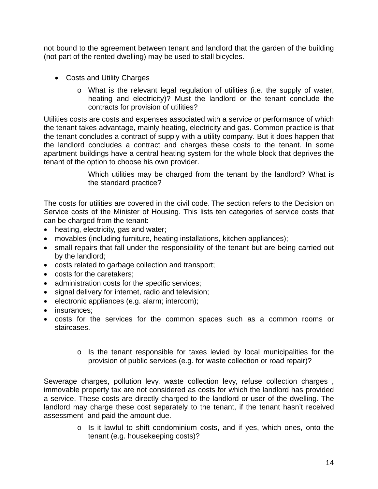not bound to the agreement between tenant and landlord that the garden of the building (not part of the rented dwelling) may be used to stall bicycles.

- Costs and Utility Charges
	- o What is the relevant legal regulation of utilities (i.e. the supply of water, heating and electricity)? Must the landlord or the tenant conclude the contracts for provision of utilities?

Utilities costs are costs and expenses associated with a service or performance of which the tenant takes advantage, mainly heating, electricity and gas. Common practice is that the tenant concludes a contract of supply with a utility company. But it does happen that the landlord concludes a contract and charges these costs to the tenant. In some apartment buildings have a central heating system for the whole block that deprives the tenant of the option to choose his own provider.

> Which utilities may be charged from the tenant by the landlord? What is the standard practice?

The costs for utilities are covered in the civil code. The section refers to the Decision on Service costs of the Minister of Housing. This lists ten categories of service costs that can be charged from the tenant:

- heating, electricity, gas and water;
- movables (including furniture, heating installations, kitchen appliances);
- small repairs that fall under the responsibility of the tenant but are being carried out by the landlord;
- costs related to garbage collection and transport;
- costs for the caretakers;
- administration costs for the specific services;
- signal delivery for internet, radio and television;
- $\bullet$  electronic appliances (e.g. alarm; intercom);
- insurances:
- costs for the services for the common spaces such as a common rooms or staircases.
	- o Is the tenant responsible for taxes levied by local municipalities for the provision of public services (e.g. for waste collection or road repair)?

Sewerage charges, pollution levy, waste collection levy, refuse collection charges , immovable property tax are not considered as costs for which the landlord has provided a service. These costs are directly charged to the landlord or user of the dwelling. The landlord may charge these cost separately to the tenant, if the tenant hasn't received assessment and paid the amount due.

> o Is it lawful to shift condominium costs, and if yes, which ones, onto the tenant (e.g. housekeeping costs)?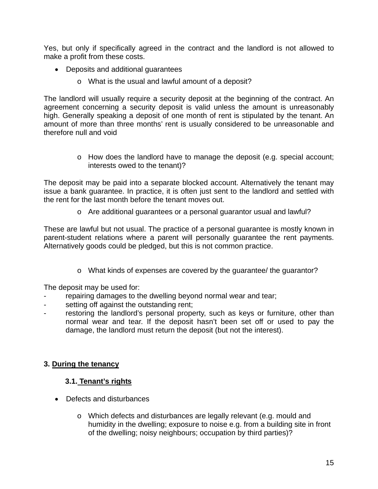Yes, but only if specifically agreed in the contract and the landlord is not allowed to make a profit from these costs.

- Deposits and additional guarantees
	- o What is the usual and lawful amount of a deposit?

The landlord will usually require a security deposit at the beginning of the contract. An agreement concerning a security deposit is valid unless the amount is unreasonably high. Generally speaking a deposit of one month of rent is stipulated by the tenant. An amount of more than three months' rent is usually considered to be unreasonable and therefore null and void

> o How does the landlord have to manage the deposit (e.g. special account; interests owed to the tenant)?

The deposit may be paid into a separate blocked account. Alternatively the tenant may issue a bank guarantee. In practice, it is often just sent to the landlord and settled with the rent for the last month before the tenant moves out.

o Are additional guarantees or a personal guarantor usual and lawful?

These are lawful but not usual. The practice of a personal guarantee is mostly known in parent-student relations where a parent will personally guarantee the rent payments. Alternatively goods could be pledged, but this is not common practice.

o What kinds of expenses are covered by the guarantee/ the guarantor?

The deposit may be used for:

- repairing damages to the dwelling beyond normal wear and tear;
- setting off against the outstanding rent;
- restoring the landlord's personal property, such as keys or furniture, other than normal wear and tear. If the deposit hasn't been set off or used to pay the damage, the landlord must return the deposit (but not the interest).

# **3. During the tenancy**

# **3.1. Tenant's rights**

- Defects and disturbances
	- o Which defects and disturbances are legally relevant (e.g. mould and humidity in the dwelling; exposure to noise e.g. from a building site in front of the dwelling; noisy neighbours; occupation by third parties)?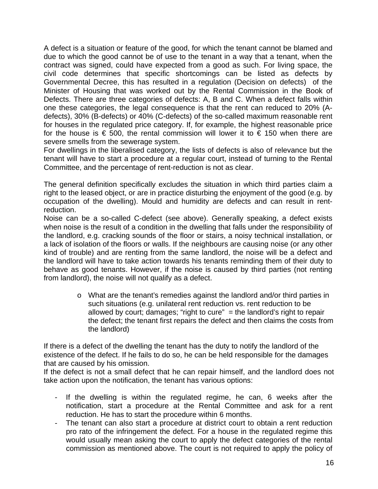A defect is a situation or feature of the good, for which the tenant cannot be blamed and due to which the good cannot be of use to the tenant in a way that a tenant, when the contract was signed, could have expected from a good as such. For living space, the civil code determines that specific shortcomings can be listed as defects by Governmental Decree, this has resulted in a regulation (Decision on defects) of the Minister of Housing that was worked out by the Rental Commission in the Book of Defects. There are three categories of defects: A, B and C. When a defect falls within one these categories, the legal consequence is that the rent can reduced to 20% (Adefects), 30% (B-defects) or 40% (C-defects) of the so-called maximum reasonable rent for houses in the regulated price category. If, for example, the highest reasonable price for the house is  $\epsilon$  500, the rental commission will lower it to  $\epsilon$  150 when there are severe smells from the sewerage system.

For dwellings in the liberalised category, the lists of defects is also of relevance but the tenant will have to start a procedure at a regular court, instead of turning to the Rental Committee, and the percentage of rent-reduction is not as clear.

The general definition specifically excludes the situation in which third parties claim a right to the leased object, or are in practice disturbing the enjoyment of the good (e.g. by occupation of the dwelling). Mould and humidity are defects and can result in rentreduction.

Noise can be a so-called C-defect (see above). Generally speaking, a defect exists when noise is the result of a condition in the dwelling that falls under the responsibility of the landlord, e.g. cracking sounds of the floor or stairs, a noisy technical installation, or a lack of isolation of the floors or walls. If the neighbours are causing noise (or any other kind of trouble) and are renting from the same landlord, the noise will be a defect and the landlord will have to take action towards his tenants reminding them of their duty to behave as good tenants. However, if the noise is caused by third parties (not renting from landlord), the noise will not qualify as a defect.

> o What are the tenant's remedies against the landlord and/or third parties in such situations (e.g. unilateral rent reduction vs. rent reduction to be allowed by court; damages; "right to cure"  $=$  the landlord's right to repair the defect; the tenant first repairs the defect and then claims the costs from the landlord)

If there is a defect of the dwelling the tenant has the duty to notify the landlord of the existence of the defect. If he fails to do so, he can be held responsible for the damages that are caused by his omission.

If the defect is not a small defect that he can repair himself, and the landlord does not take action upon the notification, the tenant has various options:

- If the dwelling is within the regulated regime, he can, 6 weeks after the notification, start a procedure at the Rental Committee and ask for a rent reduction. He has to start the procedure within 6 months.
- The tenant can also start a procedure at district court to obtain a rent reduction pro rato of the infringement the defect. For a house in the regulated regime this would usually mean asking the court to apply the defect categories of the rental commission as mentioned above. The court is not required to apply the policy of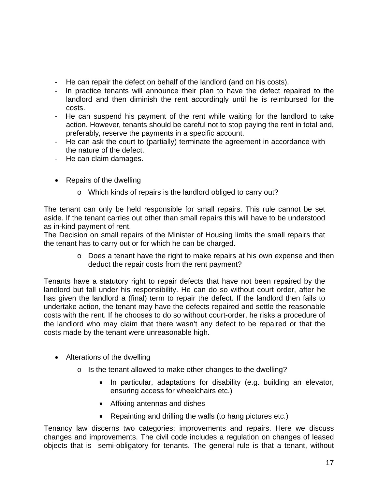- He can repair the defect on behalf of the landlord (and on his costs).
- In practice tenants will announce their plan to have the defect repaired to the landlord and then diminish the rent accordingly until he is reimbursed for the costs.
- He can suspend his payment of the rent while waiting for the landlord to take action. However, tenants should be careful not to stop paying the rent in total and, preferably, reserve the payments in a specific account.
- He can ask the court to (partially) terminate the agreement in accordance with the nature of the defect.
- He can claim damages.
- Repairs of the dwelling
	- o Which kinds of repairs is the landlord obliged to carry out?

The tenant can only be held responsible for small repairs. This rule cannot be set aside. If the tenant carries out other than small repairs this will have to be understood as in-kind payment of rent.

The Decision on small repairs of the Minister of Housing limits the small repairs that the tenant has to carry out or for which he can be charged.

> o Does a tenant have the right to make repairs at his own expense and then deduct the repair costs from the rent payment?

Tenants have a statutory right to repair defects that have not been repaired by the landlord but fall under his responsibility. He can do so without court order, after he has given the landlord a (final) term to repair the defect. If the landlord then fails to undertake action, the tenant may have the defects repaired and settle the reasonable costs with the rent. If he chooses to do so without court-order, he risks a procedure of the landlord who may claim that there wasn't any defect to be repaired or that the costs made by the tenant were unreasonable high.

- Alterations of the dwelling
	- o Is the tenant allowed to make other changes to the dwelling?
		- In particular, adaptations for disability (e.g. building an elevator, ensuring access for wheelchairs etc.)
		- Affixing antennas and dishes
		- Repainting and drilling the walls (to hang pictures etc.)

Tenancy law discerns two categories: improvements and repairs. Here we discuss changes and improvements. The civil code includes a regulation on changes of leased objects that is semi-obligatory for tenants. The general rule is that a tenant, without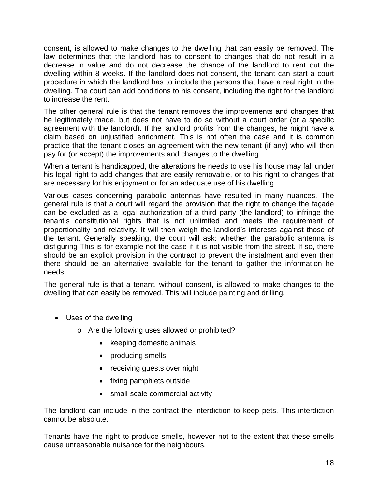consent, is allowed to make changes to the dwelling that can easily be removed. The law determines that the landlord has to consent to changes that do not result in a decrease in value and do not decrease the chance of the landlord to rent out the dwelling within 8 weeks. If the landlord does not consent, the tenant can start a court procedure in which the landlord has to include the persons that have a real right in the dwelling. The court can add conditions to his consent, including the right for the landlord to increase the rent.

The other general rule is that the tenant removes the improvements and changes that he legitimately made, but does not have to do so without a court order (or a specific agreement with the landlord). If the landlord profits from the changes, he might have a claim based on unjustified enrichment. This is not often the case and it is common practice that the tenant closes an agreement with the new tenant (if any) who will then pay for (or accept) the improvements and changes to the dwelling.

When a tenant is handicapped, the alterations he needs to use his house may fall under his legal right to add changes that are easily removable, or to his right to changes that are necessary for his enjoyment or for an adequate use of his dwelling.

Various cases concerning parabolic antennas have resulted in many nuances. The general rule is that a court will regard the provision that the right to change the façade can be excluded as a legal authorization of a third party (the landlord) to infringe the tenant's constitutional rights that is not unlimited and meets the requirement of proportionality and relativity. It will then weigh the landlord's interests against those of the tenant. Generally speaking, the court will ask: whether the parabolic antenna is disfiguring This is for example not the case if it is not visible from the street. If so, there should be an explicit provision in the contract to prevent the instalment and even then there should be an alternative available for the tenant to gather the information he needs.

The general rule is that a tenant, without consent, is allowed to make changes to the dwelling that can easily be removed. This will include painting and drilling.

- Uses of the dwelling
	- o Are the following uses allowed or prohibited?
		- keeping domestic animals
		- producing smells
		- receiving guests over night
		- fixing pamphlets outside
		- small-scale commercial activity

The landlord can include in the contract the interdiction to keep pets. This interdiction cannot be absolute.

Tenants have the right to produce smells, however not to the extent that these smells cause unreasonable nuisance for the neighbours.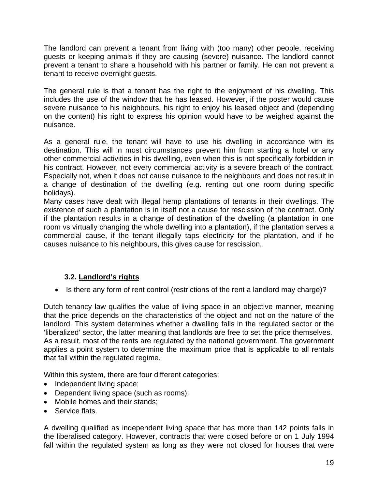The landlord can prevent a tenant from living with (too many) other people, receiving guests or keeping animals if they are causing (severe) nuisance. The landlord cannot prevent a tenant to share a household with his partner or family. He can not prevent a tenant to receive overnight guests.

The general rule is that a tenant has the right to the enjoyment of his dwelling. This includes the use of the window that he has leased. However, if the poster would cause severe nuisance to his neighbours, his right to enjoy his leased object and (depending on the content) his right to express his opinion would have to be weighed against the nuisance.

As a general rule, the tenant will have to use his dwelling in accordance with its destination. This will in most circumstances prevent him from starting a hotel or any other commercial activities in his dwelling, even when this is not specifically forbidden in his contract. However, not every commercial activity is a severe breach of the contract. Especially not, when it does not cause nuisance to the neighbours and does not result in a change of destination of the dwelling (e.g. renting out one room during specific holidays).

Many cases have dealt with illegal hemp plantations of tenants in their dwellings. The existence of such a plantation is in itself not a cause for rescission of the contract. Only if the plantation results in a change of destination of the dwelling (a plantation in one room vs virtually changing the whole dwelling into a plantation), if the plantation serves a commercial cause, if the tenant illegally taps electricity for the plantation, and if he causes nuisance to his neighbours, this gives cause for rescission..

# **3.2. Landlord's rights**

• Is there any form of rent control (restrictions of the rent a landlord may charge)?

Dutch tenancy law qualifies the value of living space in an objective manner, meaning that the price depends on the characteristics of the object and not on the nature of the landlord. This system determines whether a dwelling falls in the regulated sector or the 'liberalized' sector, the latter meaning that landlords are free to set the price themselves. As a result, most of the rents are regulated by the national government. The government applies a point system to determine the maximum price that is applicable to all rentals that fall within the regulated regime.

Within this system, there are four different categories:

- Independent living space;
- Dependent living space (such as rooms);
- Mobile homes and their stands;
- Service flats.

A dwelling qualified as independent living space that has more than 142 points falls in the liberalised category. However, contracts that were closed before or on 1 July 1994 fall within the regulated system as long as they were not closed for houses that were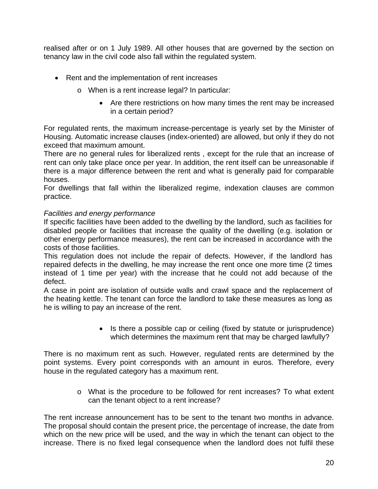realised after or on 1 July 1989. All other houses that are governed by the section on tenancy law in the civil code also fall within the regulated system.

- Rent and the implementation of rent increases
	- o When is a rent increase legal? In particular:
		- Are there restrictions on how many times the rent may be increased in a certain period?

For regulated rents, the maximum increase-percentage is yearly set by the Minister of Housing. Automatic increase clauses (index-oriented) are allowed, but only if they do not exceed that maximum amount.

There are no general rules for liberalized rents , except for the rule that an increase of rent can only take place once per year. In addition, the rent itself can be unreasonable if there is a major difference between the rent and what is generally paid for comparable houses.

For dwellings that fall within the liberalized regime, indexation clauses are common practice.

# *Facilities and energy performance*

If specific facilities have been added to the dwelling by the landlord, such as facilities for disabled people or facilities that increase the quality of the dwelling (e.g. isolation or other energy performance measures), the rent can be increased in accordance with the costs of those facilities.

This regulation does not include the repair of defects. However, if the landlord has repaired defects in the dwelling, he may increase the rent once one more time (2 times instead of 1 time per year) with the increase that he could not add because of the defect.

A case in point are isolation of outside walls and crawl space and the replacement of the heating kettle. The tenant can force the landlord to take these measures as long as he is willing to pay an increase of the rent.

> • Is there a possible cap or ceiling (fixed by statute or jurisprudence) which determines the maximum rent that may be charged lawfully?

There is no maximum rent as such. However, regulated rents are determined by the point systems. Every point corresponds with an amount in euros. Therefore, every house in the regulated category has a maximum rent.

> o What is the procedure to be followed for rent increases? To what extent can the tenant object to a rent increase?

The rent increase announcement has to be sent to the tenant two months in advance. The proposal should contain the present price, the percentage of increase, the date from which on the new price will be used, and the way in which the tenant can object to the increase. There is no fixed legal consequence when the landlord does not fulfil these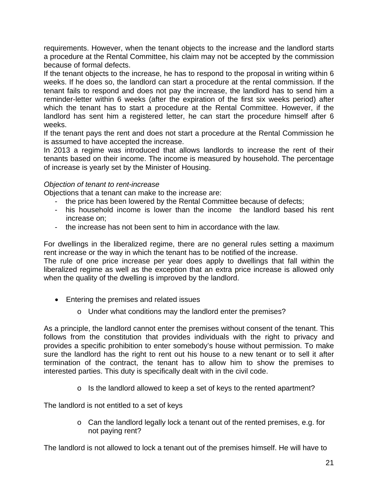requirements. However, when the tenant objects to the increase and the landlord starts a procedure at the Rental Committee, his claim may not be accepted by the commission because of formal defects.

If the tenant objects to the increase, he has to respond to the proposal in writing within 6 weeks. If he does so, the landlord can start a procedure at the rental commission. If the tenant fails to respond and does not pay the increase, the landlord has to send him a reminder-letter within 6 weeks (after the expiration of the first six weeks period) after which the tenant has to start a procedure at the Rental Committee. However, if the landlord has sent him a registered letter, he can start the procedure himself after 6 weeks.

If the tenant pays the rent and does not start a procedure at the Rental Commission he is assumed to have accepted the increase.

In 2013 a regime was introduced that allows landlords to increase the rent of their tenants based on their income. The income is measured by household. The percentage of increase is yearly set by the Minister of Housing.

# *Objection of tenant to rent-increase*

Objections that a tenant can make to the increase are:

- the price has been lowered by the Rental Committee because of defects;
- his household income is lower than the income the landlord based his rent increase on;
- the increase has not been sent to him in accordance with the law.

For dwellings in the liberalized regime, there are no general rules setting a maximum rent increase or the way in which the tenant has to be notified of the increase.

The rule of one price increase per year does apply to dwellings that fall within the liberalized regime as well as the exception that an extra price increase is allowed only when the quality of the dwelling is improved by the landlord.

- Entering the premises and related issues
	- o Under what conditions may the landlord enter the premises?

As a principle, the landlord cannot enter the premises without consent of the tenant. This follows from the constitution that provides individuals with the right to privacy and provides a specific prohibition to enter somebody's house without permission. To make sure the landlord has the right to rent out his house to a new tenant or to sell it after termination of the contract, the tenant has to allow him to show the premises to interested parties. This duty is specifically dealt with in the civil code.

o Is the landlord allowed to keep a set of keys to the rented apartment?

The landlord is not entitled to a set of keys

o Can the landlord legally lock a tenant out of the rented premises, e.g. for not paying rent?

The landlord is not allowed to lock a tenant out of the premises himself. He will have to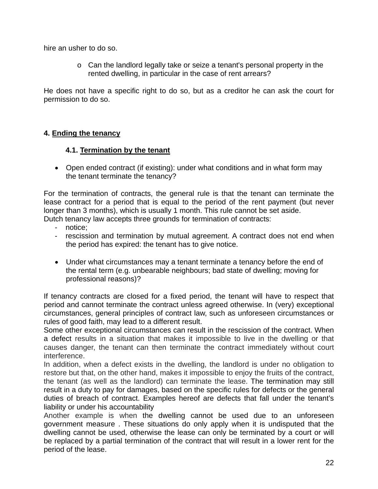hire an usher to do so.

o Can the landlord legally take or seize a tenant's personal property in the rented dwelling, in particular in the case of rent arrears?

He does not have a specific right to do so, but as a creditor he can ask the court for permission to do so.

# **4. Ending the tenancy**

# **4.1. Termination by the tenant**

• Open ended contract (if existing): under what conditions and in what form may the tenant terminate the tenancy?

For the termination of contracts, the general rule is that the tenant can terminate the lease contract for a period that is equal to the period of the rent payment (but never longer than 3 months), which is usually 1 month. This rule cannot be set aside. Dutch tenancy law accepts three grounds for termination of contracts:

- notice:
- rescission and termination by mutual agreement. A contract does not end when the period has expired: the tenant has to give notice.
- Under what circumstances may a tenant terminate a tenancy before the end of the rental term (e.g. unbearable neighbours; bad state of dwelling; moving for professional reasons)?

If tenancy contracts are closed for a fixed period, the tenant will have to respect that period and cannot terminate the contract unless agreed otherwise. In (very) exceptional circumstances, general principles of contract law, such as unforeseen circumstances or rules of good faith, may lead to a different result.

Some other exceptional circumstances can result in the rescission of the contract. When a defect results in a situation that makes it impossible to live in the dwelling or that causes danger, the tenant can then terminate the contract immediately without court interference.

In addition, when a defect exists in the dwelling, the landlord is under no obligation to restore but that, on the other hand, makes it impossible to enjoy the fruits of the contract, the tenant (as well as the landlord) can terminate the lease. The termination may still result in a duty to pay for damages, based on the specific rules for defects or the general duties of breach of contract. Examples hereof are defects that fall under the tenant's liability or under his accountability

Another example is when the dwelling cannot be used due to an unforeseen government measure . These situations do only apply when it is undisputed that the dwelling cannot be used, otherwise the lease can only be terminated by a court or will be replaced by a partial termination of the contract that will result in a lower rent for the period of the lease.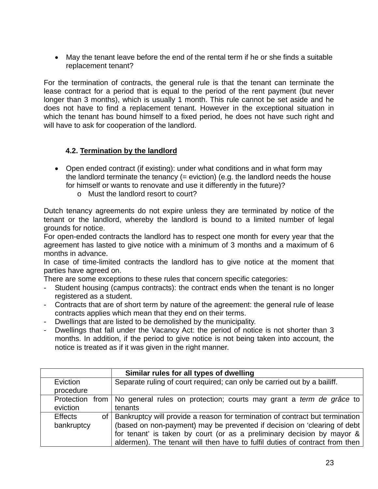May the tenant leave before the end of the rental term if he or she finds a suitable replacement tenant?

For the termination of contracts, the general rule is that the tenant can terminate the lease contract for a period that is equal to the period of the rent payment (but never longer than 3 months), which is usually 1 month. This rule cannot be set aside and he does not have to find a replacement tenant. However in the exceptional situation in which the tenant has bound himself to a fixed period, he does not have such right and will have to ask for cooperation of the landlord.

# **4.2. Termination by the landlord**

- Open ended contract (if existing): under what conditions and in what form may the landlord terminate the tenancy  $(=$  eviction) (e.g. the landlord needs the house for himself or wants to renovate and use it differently in the future)?
	- o Must the landlord resort to court?

Dutch tenancy agreements do not expire unless they are terminated by notice of the tenant or the landlord, whereby the landlord is bound to a limited number of legal grounds for notice.

For open-ended contracts the landlord has to respect one month for every year that the agreement has lasted to give notice with a minimum of 3 months and a maximum of 6 months in advance.

In case of time-limited contracts the landlord has to give notice at the moment that parties have agreed on.

There are some exceptions to these rules that concern specific categories:

- Student housing (campus contracts): the contract ends when the tenant is no longer registered as a student.
- Contracts that are of short term by nature of the agreement: the general rule of lease contracts applies which mean that they end on their terms.
- Dwellings that are listed to be demolished by the municipality.
- Dwellings that fall under the Vacancy Act: the period of notice is not shorter than 3 months. In addition, if the period to give notice is not being taken into account, the notice is treated as if it was given in the right manner.

|                | Similar rules for all types of dwelling                                           |
|----------------|-----------------------------------------------------------------------------------|
| Eviction       | Separate ruling of court required; can only be carried out by a bailiff.          |
| procedure      |                                                                                   |
| Protection     | from No general rules on protection; courts may grant a term de grâce to          |
| eviction       | tenants                                                                           |
| <b>Effects</b> | of   Bankruptcy will provide a reason for termination of contract but termination |
| bankruptcy     | (based on non-payment) may be prevented if decision on 'clearing of debt          |
|                | for tenant' is taken by court (or as a preliminary decision by mayor &            |
|                | aldermen). The tenant will then have to fulfil duties of contract from then       |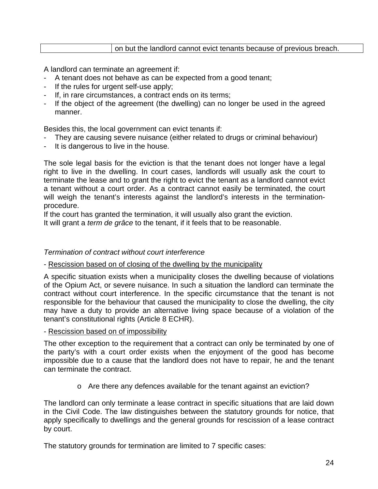|--|

A landlord can terminate an agreement if:

- A tenant does not behave as can be expected from a good tenant;
- If the rules for urgent self-use apply;
- If, in rare circumstances, a contract ends on its terms;
- If the object of the agreement (the dwelling) can no longer be used in the agreed manner.

Besides this, the local government can evict tenants if:

- They are causing severe nuisance (either related to drugs or criminal behaviour)
- It is dangerous to live in the house.

The sole legal basis for the eviction is that the tenant does not longer have a legal right to live in the dwelling. In court cases, landlords will usually ask the court to terminate the lease and to grant the right to evict the tenant as a landlord cannot evict a tenant without a court order. As a contract cannot easily be terminated, the court will weigh the tenant's interests against the landlord's interests in the terminationprocedure.

If the court has granted the termination, it will usually also grant the eviction.

It will grant a *term de grâce* to the tenant, if it feels that to be reasonable.

### *Termination of contract without court interference*

- Rescission based on of closing of the dwelling by the municipality

A specific situation exists when a municipality closes the dwelling because of violations of the Opium Act, or severe nuisance. In such a situation the landlord can terminate the contract without court interference. In the specific circumstance that the tenant is not responsible for the behaviour that caused the municipality to close the dwelling, the city may have a duty to provide an alternative living space because of a violation of the tenant's constitutional rights (Article 8 ECHR).

- Rescission based on of impossibility

The other exception to the requirement that a contract can only be terminated by one of the party's with a court order exists when the enjoyment of the good has become impossible due to a cause that the landlord does not have to repair, he and the tenant can terminate the contract.

o Are there any defences available for the tenant against an eviction?

The landlord can only terminate a lease contract in specific situations that are laid down in the Civil Code. The law distinguishes between the statutory grounds for notice, that apply specifically to dwellings and the general grounds for rescission of a lease contract by court.

The statutory grounds for termination are limited to 7 specific cases: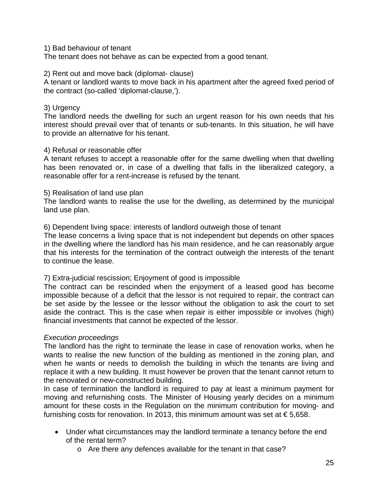### 1) Bad behaviour of tenant

The tenant does not behave as can be expected from a good tenant.

#### 2) Rent out and move back (diplomat- clause)

A tenant or landlord wants to move back in his apartment after the agreed fixed period of the contract (so-called 'diplomat-clause,').

### 3) Urgency

The landlord needs the dwelling for such an urgent reason for his own needs that his interest should prevail over that of tenants or sub-tenants. In this situation, he will have to provide an alternative for his tenant.

### 4) Refusal or reasonable offer

A tenant refuses to accept a reasonable offer for the same dwelling when that dwelling has been renovated or, in case of a dwelling that falls in the liberalized category, a reasonable offer for a rent-increase is refused by the tenant.

### 5) Realisation of land use plan

The landlord wants to realise the use for the dwelling, as determined by the municipal land use plan.

6) Dependent living space: interests of landlord outweigh those of tenant

The lease concerns a living space that is not independent but depends on other spaces in the dwelling where the landlord has his main residence, and he can reasonably argue that his interests for the termination of the contract outweigh the interests of the tenant to continue the lease.

### 7) Extra-judicial rescission; Enjoyment of good is impossible

The contract can be rescinded when the enjoyment of a leased good has become impossible because of a deficit that the lessor is not required to repair, the contract can be set aside by the lessee or the lessor without the obligation to ask the court to set aside the contract. This is the case when repair is either impossible or involves (high) financial investments that cannot be expected of the lessor.

### *Execution proceedings*

The landlord has the right to terminate the lease in case of renovation works, when he wants to realise the new function of the building as mentioned in the zoning plan, and when he wants or needs to demolish the building in which the tenants are living and replace it with a new building. It must however be proven that the tenant cannot return to the renovated or new-constructed building.

In case of termination the landlord is required to pay at least a minimum payment for moving and refurnishing costs. The Minister of Housing yearly decides on a minimum amount for these costs in the Regulation on the minimum contribution for moving- and furnishing costs for renovation. In 2013, this minimum amount was set at  $\epsilon$  5,658.

- Under what circumstances may the landlord terminate a tenancy before the end of the rental term?
	- o Are there any defences available for the tenant in that case?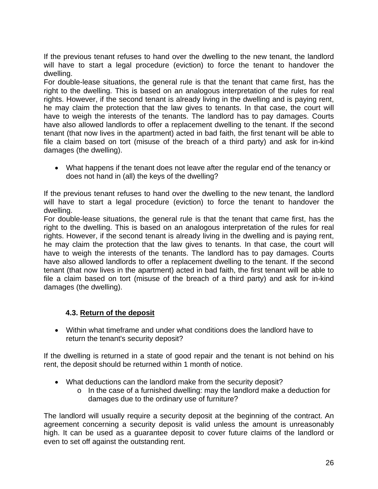If the previous tenant refuses to hand over the dwelling to the new tenant, the landlord will have to start a legal procedure (eviction) to force the tenant to handover the dwelling.

For double-lease situations, the general rule is that the tenant that came first, has the right to the dwelling. This is based on an analogous interpretation of the rules for real rights. However, if the second tenant is already living in the dwelling and is paying rent, he may claim the protection that the law gives to tenants. In that case, the court will have to weigh the interests of the tenants. The landlord has to pay damages. Courts have also allowed landlords to offer a replacement dwelling to the tenant. If the second tenant (that now lives in the apartment) acted in bad faith, the first tenant will be able to file a claim based on tort (misuse of the breach of a third party) and ask for in-kind damages (the dwelling).

 What happens if the tenant does not leave after the regular end of the tenancy or does not hand in (all) the keys of the dwelling?

If the previous tenant refuses to hand over the dwelling to the new tenant, the landlord will have to start a legal procedure (eviction) to force the tenant to handover the dwelling.

For double-lease situations, the general rule is that the tenant that came first, has the right to the dwelling. This is based on an analogous interpretation of the rules for real rights. However, if the second tenant is already living in the dwelling and is paying rent, he may claim the protection that the law gives to tenants. In that case, the court will have to weigh the interests of the tenants. The landlord has to pay damages. Courts have also allowed landlords to offer a replacement dwelling to the tenant. If the second tenant (that now lives in the apartment) acted in bad faith, the first tenant will be able to file a claim based on tort (misuse of the breach of a third party) and ask for in-kind damages (the dwelling).

# **4.3. Return of the deposit**

 Within what timeframe and under what conditions does the landlord have to return the tenant's security deposit?

If the dwelling is returned in a state of good repair and the tenant is not behind on his rent, the deposit should be returned within 1 month of notice.

- What deductions can the landlord make from the security deposit?
	- o In the case of a furnished dwelling: may the landlord make a deduction for damages due to the ordinary use of furniture?

The landlord will usually require a security deposit at the beginning of the contract. An agreement concerning a security deposit is valid unless the amount is unreasonably high. It can be used as a guarantee deposit to cover future claims of the landlord or even to set off against the outstanding rent.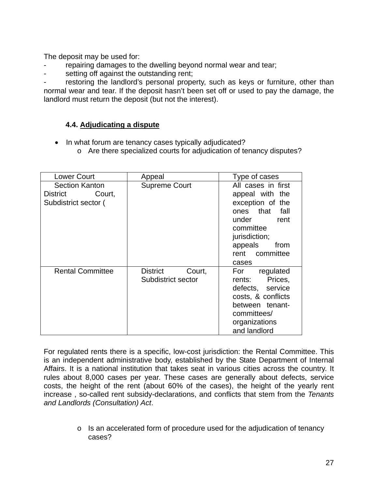The deposit may be used for:

- repairing damages to the dwelling beyond normal wear and tear;
- setting off against the outstanding rent;

restoring the landlord's personal property, such as keys or furniture, other than normal wear and tear. If the deposit hasn't been set off or used to pay the damage, the landlord must return the deposit (but not the interest).

# **4.4. Adjudicating a dispute**

- In what forum are tenancy cases typically adjudicated?
	- o Are there specialized courts for adjudication of tenancy disputes?

| <b>Lower Court</b>                                               | Appeal                                   | Type of cases                                                                                                                                                         |
|------------------------------------------------------------------|------------------------------------------|-----------------------------------------------------------------------------------------------------------------------------------------------------------------------|
| <b>Section Kanton</b><br>District Court,<br>Subdistrict sector ( | <b>Supreme Court</b>                     | All cases in first<br>appeal with the<br>exception of the<br>ones that fall<br>under rent<br>committee<br>jurisdiction;<br>appeals<br>from<br>rent committee<br>cases |
| <b>Rental Committee</b>                                          | District<br>Court,<br>Subdistrict sector | For regulated<br>rents: Prices,<br>defects, service<br>costs, & conflicts<br>between tenant-<br>committees/<br>organizations<br>and landlord                          |

For regulated rents there is a specific, low-cost jurisdiction: the Rental Committee. This is an independent administrative body, established by the State Department of Internal Affairs. It is a national institution that takes seat in various cities across the country. It rules about 8,000 cases per year. These cases are generally about defects, service costs, the height of the rent (about 60% of the cases), the height of the yearly rent increase , so-called rent subsidy-declarations, and conflicts that stem from the *Tenants and Landlords (Consultation) Act*.

> o Is an accelerated form of procedure used for the adjudication of tenancy cases?